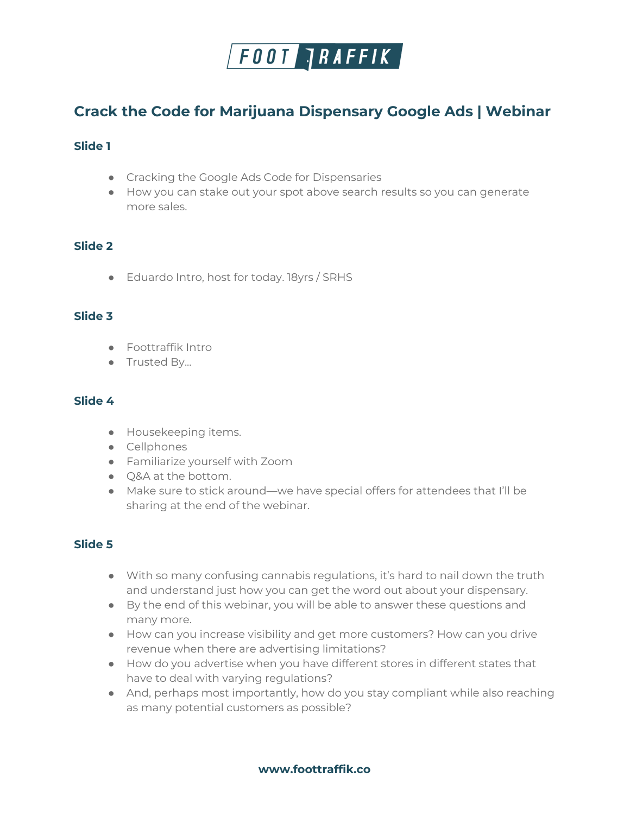

# **Crack the Code for Marijuana Dispensary Google Ads | Webinar**

## **Slide 1**

- Cracking the Google Ads Code for Dispensaries
- How you can stake out your spot above search results so you can generate more sales.

# **Slide 2**

● Eduardo Intro, host for today. 18yrs / SRHS

### **Slide 3**

- Foottraffik Intro
- Trusted By...

## **Slide 4**

- Housekeeping items.
- Cellphones
- Familiarize yourself with Zoom
- Q&A at the bottom.
- Make sure to stick around—we have special offers for attendees that I'll be sharing at the end of the webinar.

# **Slide 5**

- With so many confusing cannabis regulations, it's hard to nail down the truth and understand just how you can get the word out about your dispensary.
- By the end of this webinar, you will be able to answer these questions and many more.
- How can you increase visibility and get more customers? How can you drive revenue when there are advertising limitations?
- How do you advertise when you have different stores in different states that have to deal with varying regulations?
- And, perhaps most importantly, how do you stay compliant while also reaching as many potential customers as possible?

**www.foottraffik.co**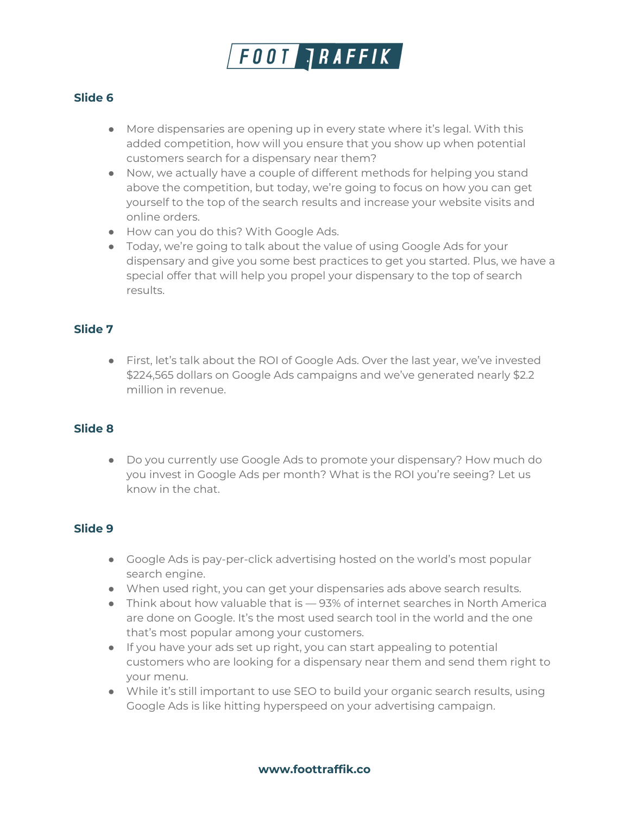

- More dispensaries are opening up in every state where it's legal. With this added competition, how will you ensure that you show up when potential customers search for a dispensary near them?
- Now, we actually have a couple of different methods for helping you stand above the competition, but today, we're going to focus on how you can get yourself to the top of the search results and increase your website visits and online orders.
- How can you do this? With Google Ads.
- Today, we're going to talk about the value of using Google Ads for your dispensary and give you some best practices to get you started. Plus, we have a special offer that will help you propel your dispensary to the top of search results.

### **Slide 7**

● First, let's talk about the ROI of Google Ads. Over the last year, we've invested \$224,565 dollars on Google Ads campaigns and we've generated nearly \$2.2 million in revenue.

#### **Slide 8**

● Do you currently use Google Ads to promote your dispensary? How much do you invest in Google Ads per month? What is the ROI you're seeing? Let us know in the chat.

- Google Ads is pay-per-click advertising hosted on the world's most popular search engine.
- When used right, you can get your dispensaries ads above search results.
- $\bullet$  Think about how valuable that is  $-$  93% of internet searches in North America are done on Google. It's the most used search tool in the world and the one that's most popular among your customers.
- If you have your ads set up right, you can start appealing to potential customers who are looking for a dispensary near them and send them right to your menu.
- While it's still important to use SEO to build your organic search results, using Google Ads is like hitting hyperspeed on your advertising campaign.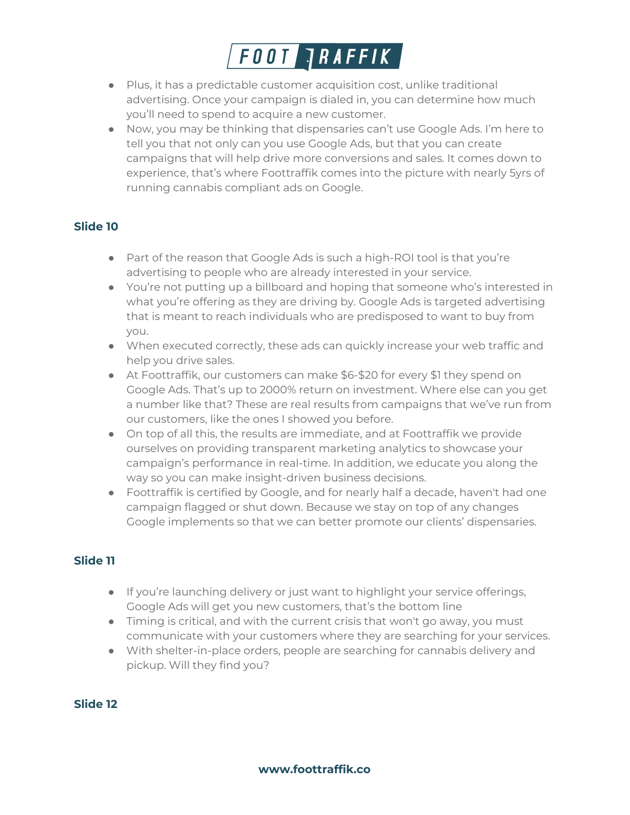

- Plus, it has a predictable customer acquisition cost, unlike traditional advertising. Once your campaign is dialed in, you can determine how much you'll need to spend to acquire a new customer.
- Now, you may be thinking that dispensaries can't use Google Ads. I'm here to tell you that not only can you use Google Ads, but that you can create campaigns that will help drive more conversions and sales. It comes down to experience, that's where Foottraffik comes into the picture with nearly 5yrs of running cannabis compliant ads on Google.

- Part of the reason that Google Ads is such a high-ROI tool is that you're advertising to people who are already interested in your service.
- You're not putting up a billboard and hoping that someone who's interested in what you're offering as they are driving by. Google Ads is targeted advertising that is meant to reach individuals who are predisposed to want to buy from you.
- When executed correctly, these ads can quickly increase your web traffic and help you drive sales.
- At Foottraffik, our customers can make \$6-\$20 for every \$1 they spend on Google Ads. That's up to 2000% return on investment. Where else can you get a number like that? These are real results from campaigns that we've run from our customers, like the ones I showed you before.
- On top of all this, the results are immediate, and at Foottraffik we provide ourselves on providing transparent marketing analytics to showcase your campaign's performance in real-time. In addition, we educate you along the way so you can make insight-driven business decisions.
- Foottraffik is certified by Google, and for nearly half a decade, haven't had one campaign flagged or shut down. Because we stay on top of any changes Google implements so that we can better promote our clients' dispensaries.

# **Slide 11**

- If you're launching delivery or just want to highlight your service offerings, Google Ads will get you new customers, that's the bottom line
- Timing is critical, and with the current crisis that won't go away, you must communicate with your customers where they are searching for your services.
- With shelter-in-place orders, people are searching for cannabis delivery and pickup. Will they find you?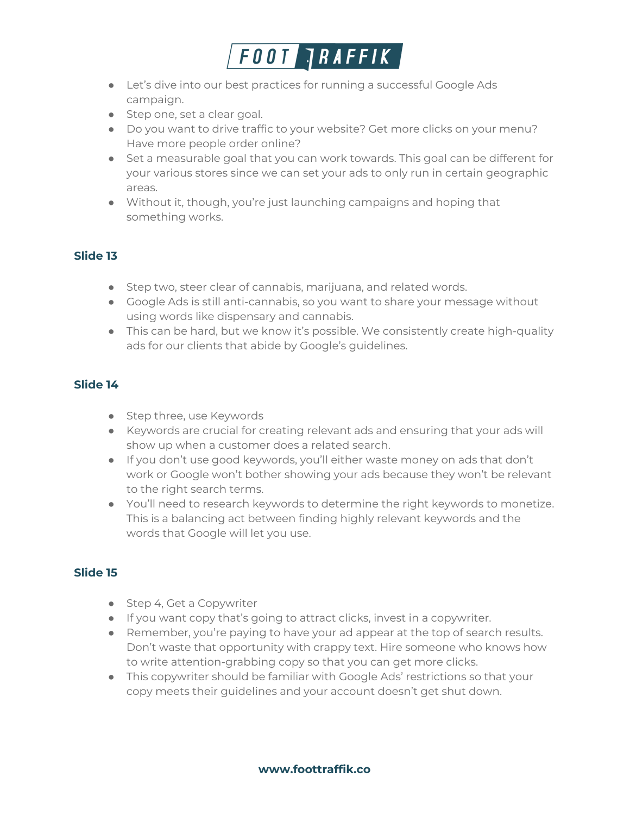

- Let's dive into our best practices for running a successful Google Ads campaign.
- Step one, set a clear goal.
- Do you want to drive traffic to your website? Get more clicks on your menu? Have more people order online?
- Set a measurable goal that you can work towards. This goal can be different for your various stores since we can set your ads to only run in certain geographic areas.
- Without it, though, you're just launching campaigns and hoping that something works.

- Step two, steer clear of cannabis, marijuana, and related words.
- Google Ads is still anti-cannabis, so you want to share your message without using words like dispensary and cannabis.
- This can be hard, but we know it's possible. We consistently create high-quality ads for our clients that abide by Google's guidelines.

### **Slide 14**

- Step three, use Keywords
- Keywords are crucial for creating relevant ads and ensuring that your ads will show up when a customer does a related search.
- If you don't use good keywords, you'll either waste money on ads that don't work or Google won't bother showing your ads because they won't be relevant to the right search terms.
- You'll need to research keywords to determine the right keywords to monetize. This is a balancing act between finding highly relevant keywords and the words that Google will let you use.

- Step 4, Get a Copywriter
- If you want copy that's going to attract clicks, invest in a copywriter.
- Remember, you're paying to have your ad appear at the top of search results. Don't waste that opportunity with crappy text. Hire someone who knows how to write attention-grabbing copy so that you can get more clicks.
- This copywriter should be familiar with Google Ads' restrictions so that your copy meets their guidelines and your account doesn't get shut down.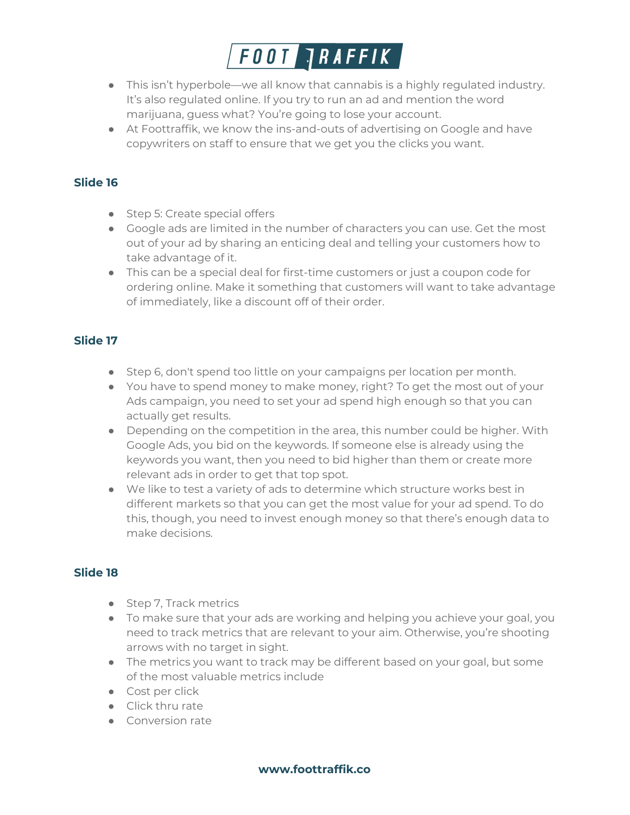

- This isn't hyperbole—we all know that cannabis is a highly regulated industry. It's also regulated online. If you try to run an ad and mention the word marijuana, guess what? You're going to lose your account.
- At Foottraffik, we know the ins-and-outs of advertising on Google and have copywriters on staff to ensure that we get you the clicks you want.

- Step 5: Create special offers
- Google ads are limited in the number of characters you can use. Get the most out of your ad by sharing an enticing deal and telling your customers how to take advantage of it.
- This can be a special deal for first-time customers or just a coupon code for ordering online. Make it something that customers will want to take advantage of immediately, like a discount off of their order.

# **Slide 17**

- Step 6, don't spend too little on your campaigns per location per month.
- You have to spend money to make money, right? To get the most out of your Ads campaign, you need to set your ad spend high enough so that you can actually get results.
- Depending on the competition in the area, this number could be higher. With Google Ads, you bid on the keywords. If someone else is already using the keywords you want, then you need to bid higher than them or create more relevant ads in order to get that top spot.
- We like to test a variety of ads to determine which structure works best in different markets so that you can get the most value for your ad spend. To do this, though, you need to invest enough money so that there's enough data to make decisions.

- Step 7, Track metrics
- To make sure that your ads are working and helping you achieve your goal, you need to track metrics that are relevant to your aim. Otherwise, you're shooting arrows with no target in sight.
- The metrics you want to track may be different based on your goal, but some of the most valuable metrics include
- Cost per click
- Click thru rate
- Conversion rate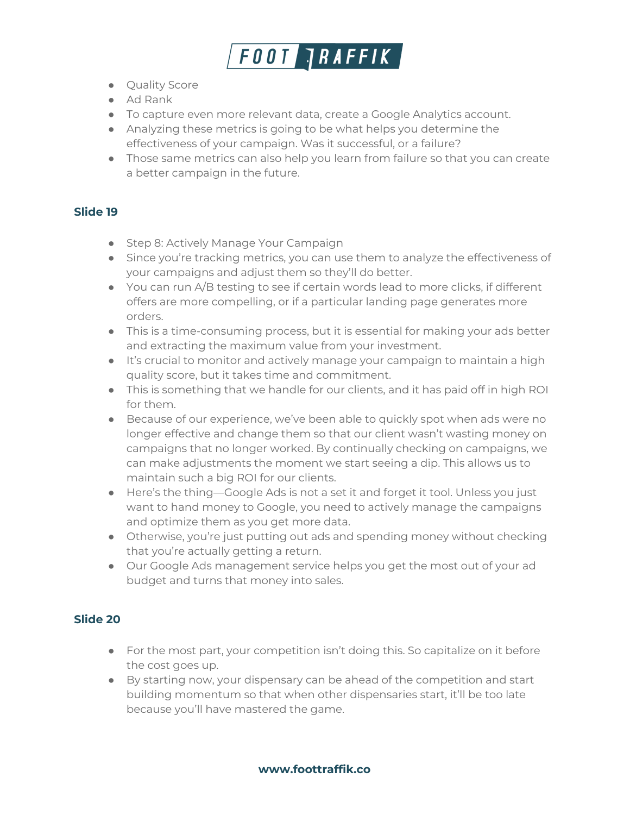

- Quality Score
- Ad Rank
- To capture even more relevant data, create a Google Analytics account.
- Analyzing these metrics is going to be what helps you determine the effectiveness of your campaign. Was it successful, or a failure?
- Those same metrics can also help you learn from failure so that you can create a better campaign in the future.

- Step 8: Actively Manage Your Campaign
- Since you're tracking metrics, you can use them to analyze the effectiveness of your campaigns and adjust them so they'll do better.
- $\bullet$  You can run A/B testing to see if certain words lead to more clicks, if different offers are more compelling, or if a particular landing page generates more orders.
- This is a time-consuming process, but it is essential for making your ads better and extracting the maximum value from your investment.
- It's crucial to monitor and actively manage your campaign to maintain a high quality score, but it takes time and commitment.
- This is something that we handle for our clients, and it has paid off in high ROI for them.
- Because of our experience, we've been able to quickly spot when ads were no longer effective and change them so that our client wasn't wasting money on campaigns that no longer worked. By continually checking on campaigns, we can make adjustments the moment we start seeing a dip. This allows us to maintain such a big ROI for our clients.
- Here's the thing—Google Ads is not a set it and forget it tool. Unless you just want to hand money to Google, you need to actively manage the campaigns and optimize them as you get more data.
- Otherwise, you're just putting out ads and spending money without checking that you're actually getting a return.
- Our Google Ads management service helps you get the most out of your ad budget and turns that money into sales.

- For the most part, your competition isn't doing this. So capitalize on it before the cost goes up.
- By starting now, your dispensary can be ahead of the competition and start building momentum so that when other dispensaries start, it'll be too late because you'll have mastered the game.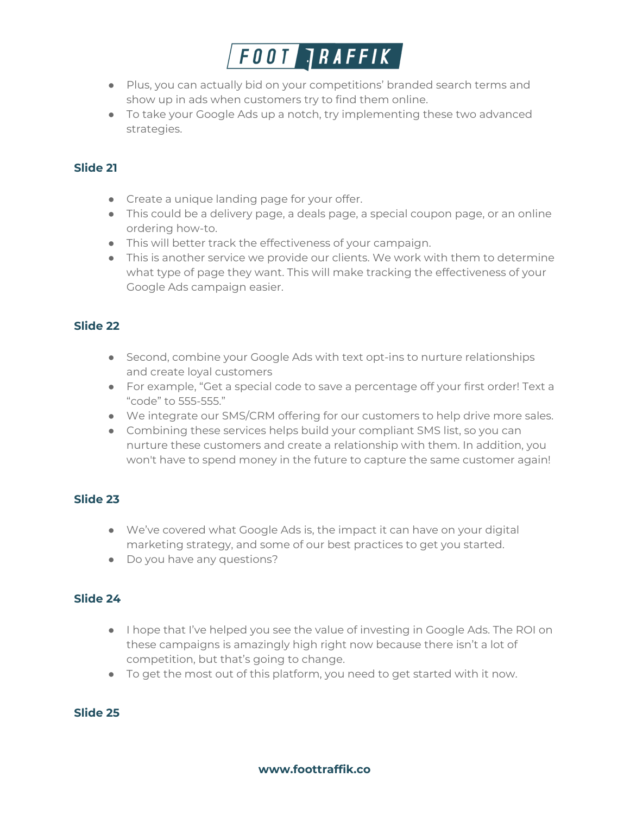

- Plus, you can actually bid on your competitions' branded search terms and show up in ads when customers try to find them online.
- To take your Google Ads up a notch, try implementing these two advanced strategies.

- Create a unique landing page for your offer.
- This could be a delivery page, a deals page, a special coupon page, or an online ordering how-to.
- This will better track the effectiveness of your campaign.
- This is another service we provide our clients. We work with them to determine what type of page they want. This will make tracking the effectiveness of your Google Ads campaign easier.

# **Slide 22**

- Second, combine your Google Ads with text opt-ins to nurture relationships and create loyal customers
- For example, "Get a special code to save a percentage off your first order! Text a "code" to 555-555."
- We integrate our SMS/CRM offering for our customers to help drive more sales.
- Combining these services helps build your compliant SMS list, so you can nurture these customers and create a relationship with them. In addition, you won't have to spend money in the future to capture the same customer again!

# **Slide 23**

- We've covered what Google Ads is, the impact it can have on your digital marketing strategy, and some of our best practices to get you started.
- Do you have any questions?

#### **Slide 24**

- I hope that I've helped you see the value of investing in Google Ads. The ROI on these campaigns is amazingly high right now because there isn't a lot of competition, but that's going to change.
- To get the most out of this platform, you need to get started with it now.